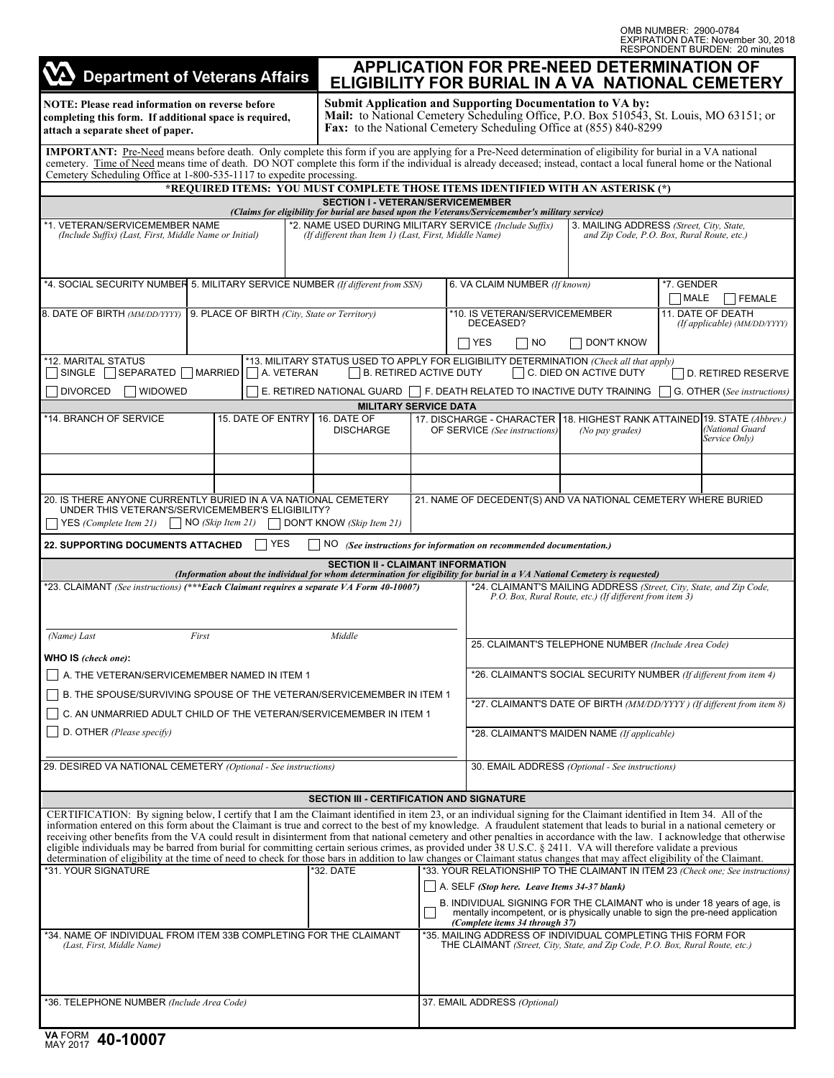OMB NUMBER: 2900-0784 EXPIRATION DATE: November 30, 2018 RESPONDENT BURDEN: 20 minutes

|                                                                                                                                                                                                                                                                                                                                                                                                                                                                                                                                                                                                                                                                                                                                                                                                                                                                                                           |                                                                                                                                                                                                                                 |                                                                                                                                              |                                            |                                                                                                                                              |                                                                                                                                                                                                                                              |  | RESPONDENT BURDEN: 20 MINUTES    |  |
|-----------------------------------------------------------------------------------------------------------------------------------------------------------------------------------------------------------------------------------------------------------------------------------------------------------------------------------------------------------------------------------------------------------------------------------------------------------------------------------------------------------------------------------------------------------------------------------------------------------------------------------------------------------------------------------------------------------------------------------------------------------------------------------------------------------------------------------------------------------------------------------------------------------|---------------------------------------------------------------------------------------------------------------------------------------------------------------------------------------------------------------------------------|----------------------------------------------------------------------------------------------------------------------------------------------|--------------------------------------------|----------------------------------------------------------------------------------------------------------------------------------------------|----------------------------------------------------------------------------------------------------------------------------------------------------------------------------------------------------------------------------------------------|--|----------------------------------|--|
| <b>Department of Veterans Affairs</b>                                                                                                                                                                                                                                                                                                                                                                                                                                                                                                                                                                                                                                                                                                                                                                                                                                                                     |                                                                                                                                                                                                                                 |                                                                                                                                              |                                            |                                                                                                                                              | <b>APPLICATION FOR PRE-NEED DETERMINATION OF</b><br>ELIGIBILITY FOR BURIAL IN A VA NATIONAL CEMETERY                                                                                                                                         |  |                                  |  |
| <b>NOTE: Please read information on reverse before</b><br>completing this form. If additional space is required,<br>attach a separate sheet of paper.                                                                                                                                                                                                                                                                                                                                                                                                                                                                                                                                                                                                                                                                                                                                                     | <b>Submit Application and Supporting Documentation to VA by:</b><br>Mail: to National Cemetery Scheduling Office, P.O. Box 510543, St. Louis, MO 63151; or<br>Fax: to the National Cemetery Scheduling Office at (855) 840-8299 |                                                                                                                                              |                                            |                                                                                                                                              |                                                                                                                                                                                                                                              |  |                                  |  |
| IMPORTANT: Pre-Need means before death. Only complete this form if you are applying for a Pre-Need determination of eligibility for burial in a VA national<br>cemetery. Time of Need means time of death. DO NOT complete this form if the individual is already deceased; instead, contact a local funeral home or the National<br>Cemetery Scheduling Office at 1-800-535-1117 to expedite processing.                                                                                                                                                                                                                                                                                                                                                                                                                                                                                                 |                                                                                                                                                                                                                                 |                                                                                                                                              |                                            |                                                                                                                                              |                                                                                                                                                                                                                                              |  |                                  |  |
|                                                                                                                                                                                                                                                                                                                                                                                                                                                                                                                                                                                                                                                                                                                                                                                                                                                                                                           | *REOUIRED ITEMS: YOU MUST COMPLETE THOSE ITEMS IDENTIFIED WITH AN ASTERISK (*)                                                                                                                                                  |                                                                                                                                              |                                            |                                                                                                                                              |                                                                                                                                                                                                                                              |  |                                  |  |
|                                                                                                                                                                                                                                                                                                                                                                                                                                                                                                                                                                                                                                                                                                                                                                                                                                                                                                           |                                                                                                                                                                                                                                 | <b>SECTION I - VETERAN/SERVICEMEMBER</b><br>(Claims for eligibility for burial are based upon the Veterans/Servicemember's military service) |                                            |                                                                                                                                              |                                                                                                                                                                                                                                              |  |                                  |  |
| *1. VETERAN/SERVICEMEMBER NAME                                                                                                                                                                                                                                                                                                                                                                                                                                                                                                                                                                                                                                                                                                                                                                                                                                                                            |                                                                                                                                                                                                                                 | *2. NAME USED DURING MILITARY SERVICE (Include Suffix)                                                                                       |                                            |                                                                                                                                              | 3. MAILING ADDRESS (Street, City, State,                                                                                                                                                                                                     |  |                                  |  |
| (Include Suffix) (Last, First, Middle Name or Initial)                                                                                                                                                                                                                                                                                                                                                                                                                                                                                                                                                                                                                                                                                                                                                                                                                                                    |                                                                                                                                                                                                                                 | (If different than Item 1) (Last, First, Middle Name)                                                                                        |                                            |                                                                                                                                              | and Zip Code, P.O. Box, Rural Route, etc.)                                                                                                                                                                                                   |  |                                  |  |
| *4. SOCIAL SECURITY NUMBER 5. MILITARY SERVICE NUMBER (If different from SSN)                                                                                                                                                                                                                                                                                                                                                                                                                                                                                                                                                                                                                                                                                                                                                                                                                             |                                                                                                                                                                                                                                 |                                                                                                                                              | 6. VA CLAIM NUMBER (If known)              |                                                                                                                                              | *7. GENDER<br><b>MALE</b><br><b>FEMALE</b>                                                                                                                                                                                                   |  |                                  |  |
| 8. DATE OF BIRTH (MM/DD/YYYY)                                                                                                                                                                                                                                                                                                                                                                                                                                                                                                                                                                                                                                                                                                                                                                                                                                                                             | 9. PLACE OF BIRTH (City, State or Territory)                                                                                                                                                                                    |                                                                                                                                              | *10. IS VETERAN/SERVICEMEMBER<br>DECEASED? |                                                                                                                                              | 11. DATE OF DEATH<br>(If applicable) (MM/DD/YYYY)                                                                                                                                                                                            |  |                                  |  |
| *12. MARITAL STATUS                                                                                                                                                                                                                                                                                                                                                                                                                                                                                                                                                                                                                                                                                                                                                                                                                                                                                       |                                                                                                                                                                                                                                 |                                                                                                                                              |                                            | <b>YES</b><br> NO                                                                                                                            | <b>DON'T KNOW</b><br>*13. MILITARY STATUS USED TO APPLY FOR ELIGIBILITY DETERMINATION (Check all that apply)                                                                                                                                 |  |                                  |  |
| SEPARATED   MARRIED<br>SINGLE                                                                                                                                                                                                                                                                                                                                                                                                                                                                                                                                                                                                                                                                                                                                                                                                                                                                             | A. VETERAN                                                                                                                                                                                                                      | <b>B. RETIRED ACTIVE DUTY</b>                                                                                                                |                                            |                                                                                                                                              | $\Box$ C. DIED ON ACTIVE DUTY                                                                                                                                                                                                                |  | D. RETIRED RESERVE               |  |
| <b>DIVORCED</b><br><b>WIDOWED</b>                                                                                                                                                                                                                                                                                                                                                                                                                                                                                                                                                                                                                                                                                                                                                                                                                                                                         |                                                                                                                                                                                                                                 | E. RETIRED NATIONAL GUARD $\Box$ F. DEATH RELATED TO INACTIVE DUTY TRAINING                                                                  |                                            |                                                                                                                                              |                                                                                                                                                                                                                                              |  | G. OTHER (See instructions)      |  |
|                                                                                                                                                                                                                                                                                                                                                                                                                                                                                                                                                                                                                                                                                                                                                                                                                                                                                                           |                                                                                                                                                                                                                                 | <b>MILITARY SERVICE DATA</b>                                                                                                                 |                                            |                                                                                                                                              |                                                                                                                                                                                                                                              |  |                                  |  |
| *14. BRANCH OF SERVICE                                                                                                                                                                                                                                                                                                                                                                                                                                                                                                                                                                                                                                                                                                                                                                                                                                                                                    | 15. DATE OF ENTRY 16. DATE OF                                                                                                                                                                                                   | <b>DISCHARGE</b>                                                                                                                             |                                            | OF SERVICE (See instructions)                                                                                                                | 17. DISCHARGE - CHARACTER 118. HIGHEST RANK ATTAINED 19. STATE (Abbrev.)<br>(No pay grades)                                                                                                                                                  |  | (National Guard<br>Service Only) |  |
|                                                                                                                                                                                                                                                                                                                                                                                                                                                                                                                                                                                                                                                                                                                                                                                                                                                                                                           |                                                                                                                                                                                                                                 |                                                                                                                                              |                                            |                                                                                                                                              |                                                                                                                                                                                                                                              |  |                                  |  |
| 20. IS THERE ANYONE CURRENTLY BURIED IN A VA NATIONAL CEMETERY<br>UNDER THIS VETERAN'S/SERVICEMEMBER'S ELIGIBILITY?<br>YES (Complete Item 21)                                                                                                                                                                                                                                                                                                                                                                                                                                                                                                                                                                                                                                                                                                                                                             | $\big $ NO (Skip Item 21)                                                                                                                                                                                                       | DON'T KNOW (Skip Item 21)                                                                                                                    |                                            |                                                                                                                                              | 21. NAME OF DECEDENT(S) AND VA NATIONAL CEMETERY WHERE BURIED                                                                                                                                                                                |  |                                  |  |
| <b>22. SUPPORTING DOCUMENTS ATTACHED</b>                                                                                                                                                                                                                                                                                                                                                                                                                                                                                                                                                                                                                                                                                                                                                                                                                                                                  | <b>YES</b>                                                                                                                                                                                                                      |                                                                                                                                              |                                            | $NO$ (See instructions for information on recommended documentation.)                                                                        |                                                                                                                                                                                                                                              |  |                                  |  |
|                                                                                                                                                                                                                                                                                                                                                                                                                                                                                                                                                                                                                                                                                                                                                                                                                                                                                                           |                                                                                                                                                                                                                                 | <b>SECTION II - CLAIMANT INFORMATION</b>                                                                                                     |                                            |                                                                                                                                              |                                                                                                                                                                                                                                              |  |                                  |  |
| *23. CLAIMANT (See instructions) (***Each Claimant requires a separate VA Form 40-10007)                                                                                                                                                                                                                                                                                                                                                                                                                                                                                                                                                                                                                                                                                                                                                                                                                  | (Information about the individual for whom determination for eligibility for burial in a VA National Cemetery is requested)                                                                                                     |                                                                                                                                              |                                            |                                                                                                                                              | *24. CLAIMANT'S MAILING ADDRESS (Street, City, State, and Zip Code,<br>P.O. Box, Rural Route, etc.) (If different from item 3)                                                                                                               |  |                                  |  |
|                                                                                                                                                                                                                                                                                                                                                                                                                                                                                                                                                                                                                                                                                                                                                                                                                                                                                                           |                                                                                                                                                                                                                                 |                                                                                                                                              |                                            |                                                                                                                                              |                                                                                                                                                                                                                                              |  |                                  |  |
| First<br>Middle<br>(Name) Last<br>WHO IS (check one):                                                                                                                                                                                                                                                                                                                                                                                                                                                                                                                                                                                                                                                                                                                                                                                                                                                     |                                                                                                                                                                                                                                 |                                                                                                                                              |                                            | 25. CLAIMANT'S TELEPHONE NUMBER (Include Area Code)                                                                                          |                                                                                                                                                                                                                                              |  |                                  |  |
| A. THE VETERAN/SERVICEMEMBER NAMED IN ITEM 1                                                                                                                                                                                                                                                                                                                                                                                                                                                                                                                                                                                                                                                                                                                                                                                                                                                              |                                                                                                                                                                                                                                 |                                                                                                                                              |                                            | *26. CLAIMANT'S SOCIAL SECURITY NUMBER (If different from item 4)                                                                            |                                                                                                                                                                                                                                              |  |                                  |  |
| B. THE SPOUSE/SURVIVING SPOUSE OF THE VETERAN/SERVICEMEMBER IN ITEM 1                                                                                                                                                                                                                                                                                                                                                                                                                                                                                                                                                                                                                                                                                                                                                                                                                                     |                                                                                                                                                                                                                                 |                                                                                                                                              |                                            | *27. CLAIMANT'S DATE OF BIRTH (MM/DD/YYYY) (If different from item 8)                                                                        |                                                                                                                                                                                                                                              |  |                                  |  |
| C. AN UNMARRIED ADULT CHILD OF THE VETERAN/SERVICEMEMBER IN ITEM 1<br>D. OTHER (Please specify)                                                                                                                                                                                                                                                                                                                                                                                                                                                                                                                                                                                                                                                                                                                                                                                                           |                                                                                                                                                                                                                                 |                                                                                                                                              |                                            | *28. CLAIMANT'S MAIDEN NAME (If applicable)                                                                                                  |                                                                                                                                                                                                                                              |  |                                  |  |
|                                                                                                                                                                                                                                                                                                                                                                                                                                                                                                                                                                                                                                                                                                                                                                                                                                                                                                           |                                                                                                                                                                                                                                 |                                                                                                                                              |                                            |                                                                                                                                              |                                                                                                                                                                                                                                              |  |                                  |  |
| 29. DESIRED VA NATIONAL CEMETERY (Optional - See instructions)                                                                                                                                                                                                                                                                                                                                                                                                                                                                                                                                                                                                                                                                                                                                                                                                                                            |                                                                                                                                                                                                                                 |                                                                                                                                              |                                            | 30. EMAIL ADDRESS (Optional - See instructions)                                                                                              |                                                                                                                                                                                                                                              |  |                                  |  |
|                                                                                                                                                                                                                                                                                                                                                                                                                                                                                                                                                                                                                                                                                                                                                                                                                                                                                                           |                                                                                                                                                                                                                                 | <b>SECTION III - CERTIFICATION AND SIGNATURE</b>                                                                                             |                                            |                                                                                                                                              |                                                                                                                                                                                                                                              |  |                                  |  |
| CERTIFICATION: By signing below, I certify that I am the Claimant identified in item 23, or an individual signing for the Claimant identified in Item 34. All of the<br>information entered on this form about the Claimant is true and correct to the best of my knowledge. A fraudulent statement that leads to burial in a national cemetery or<br>receiving other benefits from the VA could result in disinterment from that national cemetery and other penalties in accordance with the law. I acknowledge that otherwise<br>eligible individuals may be barred from burial for committing certain serious crimes, as provided under 38 U.S.C. § 2411. VA will therefore validate a previous<br>determination of eligibility at the time of need to check for those bars in addition to law changes or Claimant status changes that may affect eligibility of the Claimant.<br>*31. YOUR SIGNATURE |                                                                                                                                                                                                                                 | *32. DATE                                                                                                                                    |                                            | $\vert$ A. SELF (Stop here. Leave Items 34-37 blank)<br>(Complete items 34 through 37)                                                       | *33. YOUR RELATIONSHIP TO THE CLAIMANT IN ITEM 23 (Check one; See instructions)<br>B. INDIVIDUAL SIGNING FOR THE CLAIMANT who is under 18 years of age, is<br>mentally incompetent, or is physically unable to sign the pre-need application |  |                                  |  |
| *34. NAME OF INDIVIDUAL FROM ITEM 33B COMPLETING FOR THE CLAIMANT<br>(Last, First, Middle Name)                                                                                                                                                                                                                                                                                                                                                                                                                                                                                                                                                                                                                                                                                                                                                                                                           |                                                                                                                                                                                                                                 |                                                                                                                                              |                                            | *35. MAILING ADDRESS OF INDIVIDUAL COMPLETING THIS FORM FOR<br>THE CLAIMANT (Street, City, State, and Zip Code, P.O. Box, Rural Route, etc.) |                                                                                                                                                                                                                                              |  |                                  |  |
| *36. TELEPHONE NUMBER (Include Area Code)                                                                                                                                                                                                                                                                                                                                                                                                                                                                                                                                                                                                                                                                                                                                                                                                                                                                 |                                                                                                                                                                                                                                 |                                                                                                                                              |                                            | 37. EMAIL ADDRESS (Optional)                                                                                                                 |                                                                                                                                                                                                                                              |  |                                  |  |